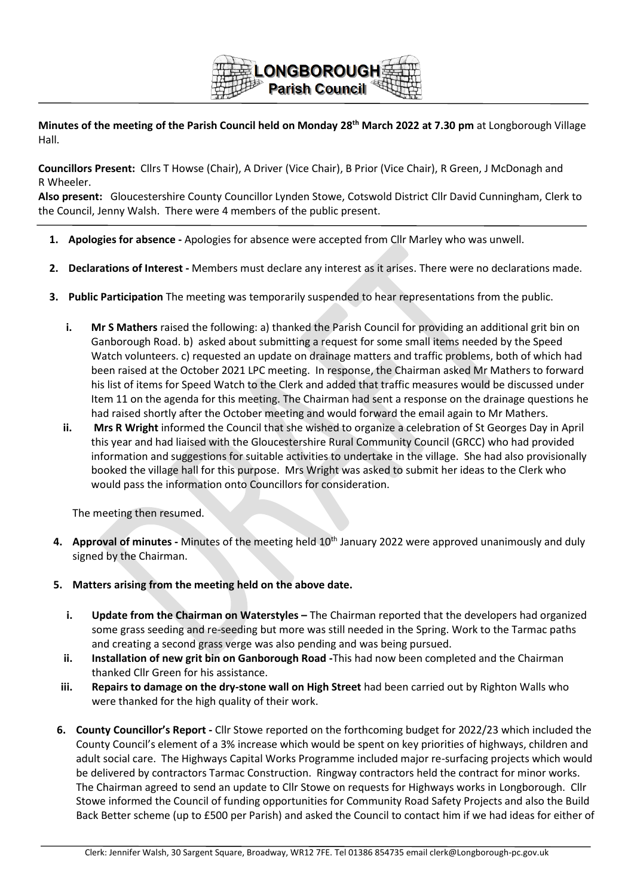

**Minutes of the meeting of the Parish Council held on Monday 28th March 2022 at 7.30 pm** at Longborough Village Hall.

**Councillors Present:** Cllrs T Howse (Chair), A Driver (Vice Chair), B Prior (Vice Chair), R Green, J McDonagh and R Wheeler.

**Also present:** Gloucestershire County Councillor Lynden Stowe, Cotswold District Cllr David Cunningham, Clerk to the Council, Jenny Walsh. There were 4 members of the public present.

- **1. Apologies for absence -** Apologies for absence were accepted from Cllr Marley who was unwell.
- **2. Declarations of Interest -** Members must declare any interest as it arises. There were no declarations made.
- **3. Public Participation** The meeting was temporarily suspended to hear representations from the public.
	- **i. Mr S Mathers** raised the following: a) thanked the Parish Council for providing an additional grit bin on Ganborough Road. b) asked about submitting a request for some small items needed by the Speed Watch volunteers. c) requested an update on drainage matters and traffic problems, both of which had been raised at the October 2021 LPC meeting. In response, the Chairman asked Mr Mathers to forward his list of items for Speed Watch to the Clerk and added that traffic measures would be discussed under Item 11 on the agenda for this meeting. The Chairman had sent a response on the drainage questions he had raised shortly after the October meeting and would forward the email again to Mr Mathers.
	- **ii. Mrs R Wright** informed the Council that she wished to organize a celebration of St Georges Day in April this year and had liaised with the Gloucestershire Rural Community Council (GRCC) who had provided information and suggestions for suitable activities to undertake in the village. She had also provisionally booked the village hall for this purpose. Mrs Wright was asked to submit her ideas to the Clerk who would pass the information onto Councillors for consideration.

The meeting then resumed.

- **4. Approval of minutes -** Minutes of the meeting held 10th January 2022 were approved unanimously and duly signed by the Chairman.
- **5. Matters arising from the meeting held on the above date.**
	- **i. Update from the Chairman on Waterstyles** The Chairman reported that the developers had organized some grass seeding and re-seeding but more was still needed in the Spring. Work to the Tarmac paths and creating a second grass verge was also pending and was being pursued.
	- **ii. Installation of new grit bin on Ganborough Road -**This had now been completed and the Chairman thanked Cllr Green for his assistance.
	- **iii. Repairs to damage on the dry-stone wall on High Street** had been carried out by Righton Walls who were thanked for the high quality of their work.
- **6. County Councillor's Report -** Cllr Stowe reported on the forthcoming budget for 2022/23 which included the County Council's element of a 3% increase which would be spent on key priorities of highways, children and adult social care. The Highways Capital Works Programme included major re-surfacing projects which would be delivered by contractors Tarmac Construction. Ringway contractors held the contract for minor works. The Chairman agreed to send an update to Cllr Stowe on requests for Highways works in Longborough. Cllr Stowe informed the Council of funding opportunities for Community Road Safety Projects and also the Build Back Better scheme (up to £500 per Parish) and asked the Council to contact him if we had ideas for either of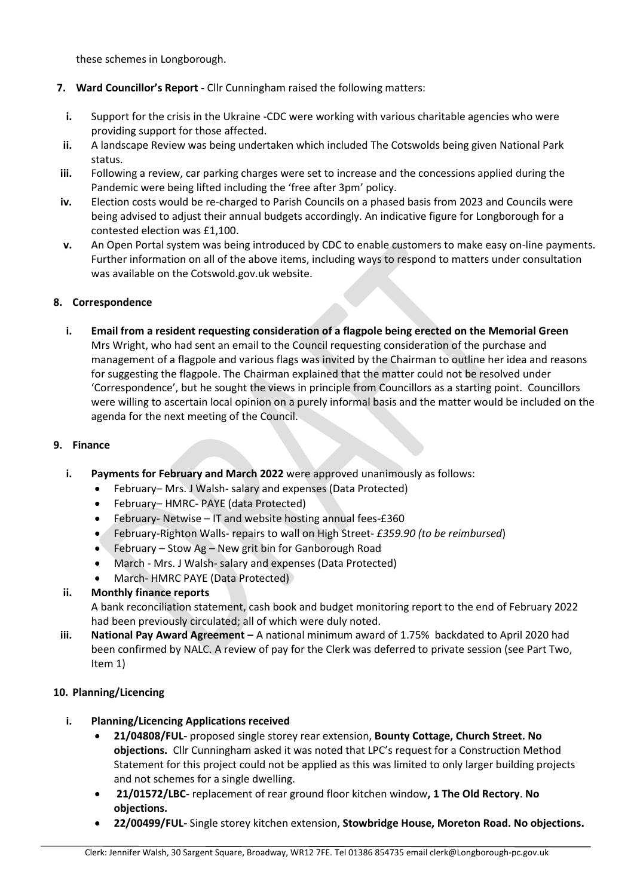these schemes in Longborough.

- **7. Ward Councillor's Report -** Cllr Cunningham raised the following matters:
- **i.** Support for the crisis in the Ukraine -CDC were working with various charitable agencies who were providing support for those affected.
- **ii.** A landscape Review was being undertaken which included The Cotswolds being given National Park status.
- **iii.** Following a review, car parking charges were set to increase and the concessions applied during the Pandemic were being lifted including the 'free after 3pm' policy.
- **iv.** Election costs would be re-charged to Parish Councils on a phased basis from 2023 and Councils were being advised to adjust their annual budgets accordingly. An indicative figure for Longborough for a contested election was £1,100.
- **v.** An Open Portal system was being introduced by CDC to enable customers to make easy on-line payments. Further information on all of the above items, including ways to respond to matters under consultation was available on the Cotswold.gov.uk website.

# **8. Correspondence**

**i. Email from a resident requesting consideration of a flagpole being erected on the Memorial Green** Mrs Wright, who had sent an email to the Council requesting consideration of the purchase and management of a flagpole and various flags was invited by the Chairman to outline her idea and reasons for suggesting the flagpole. The Chairman explained that the matter could not be resolved under 'Correspondence', but he sought the views in principle from Councillors as a starting point. Councillors were willing to ascertain local opinion on a purely informal basis and the matter would be included on the agenda for the next meeting of the Council.

#### **9. Finance**

- **i. Payments for February and March 2022** were approved unanimously as follows:
	- February– Mrs. J Walsh- salary and expenses (Data Protected)
	- February– HMRC- PAYE (data Protected)
	- February- Netwise IT and website hosting annual fees-£360
	- February-Righton Walls- repairs to wall on High Street- *£359.90 (to be reimbursed*)
	- February Stow Ag New grit bin for Ganborough Road
	- March Mrs. J Walsh- salary and expenses (Data Protected)
	- March- HMRC PAYE (Data Protected)

#### **ii. Monthly finance reports**

A bank reconciliation statement, cash book and budget monitoring report to the end of February 2022 had been previously circulated; all of which were duly noted.

**iii. National Pay Award Agreement –** A national minimum award of 1.75% backdated to April 2020 had been confirmed by NALC. A review of pay for the Clerk was deferred to private session (see Part Two, Item 1)

#### **10. Planning/Licencing**

- **i. Planning/Licencing Applications received**
	- **21/04808/FUL-** proposed single storey rear extension, **Bounty Cottage, Church Street. No objections.** Cllr Cunningham asked it was noted that LPC's request for a Construction Method Statement for this project could not be applied as this was limited to only larger building projects and not schemes for a single dwelling.
	- **21/01572/LBC-** replacement of rear ground floor kitchen window**, 1 The Old Rectory**. **No objections.**
	- **22/00499/FUL-** Single storey kitchen extension, **Stowbridge House, Moreton Road. No objections.**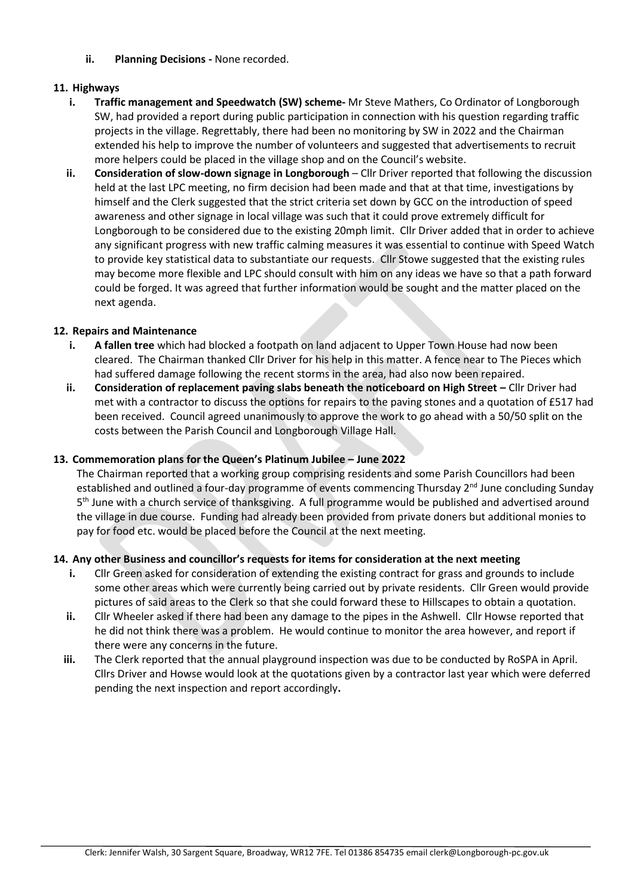**ii. Planning Decisions -** None recorded.

# **11. Highways**

- **i. Traffic management and Speedwatch (SW) scheme-** Mr Steve Mathers, Co Ordinator of Longborough SW, had provided a report during public participation in connection with his question regarding traffic projects in the village. Regrettably, there had been no monitoring by SW in 2022 and the Chairman extended his help to improve the number of volunteers and suggested that advertisements to recruit more helpers could be placed in the village shop and on the Council's website.
- **ii. Consideration of slow-down signage in Longborough** Cllr Driver reported that following the discussion held at the last LPC meeting, no firm decision had been made and that at that time, investigations by himself and the Clerk suggested that the strict criteria set down by GCC on the introduction of speed awareness and other signage in local village was such that it could prove extremely difficult for Longborough to be considered due to the existing 20mph limit. Cllr Driver added that in order to achieve any significant progress with new traffic calming measures it was essential to continue with Speed Watch to provide key statistical data to substantiate our requests. Cllr Stowe suggested that the existing rules may become more flexible and LPC should consult with him on any ideas we have so that a path forward could be forged. It was agreed that further information would be sought and the matter placed on the next agenda.

# **12. Repairs and Maintenance**

- **i. A fallen tree** which had blocked a footpath on land adjacent to Upper Town House had now been cleared. The Chairman thanked Cllr Driver for his help in this matter. A fence near to The Pieces which had suffered damage following the recent storms in the area, had also now been repaired.
- **ii. Consideration of replacement paving slabs beneath the noticeboard on High Street –** Cllr Driver had met with a contractor to discuss the options for repairs to the paving stones and a quotation of £517 had been received. Council agreed unanimously to approve the work to go ahead with a 50/50 split on the costs between the Parish Council and Longborough Village Hall.

# **13. Commemoration plans for the Queen's Platinum Jubilee – June 2022**

The Chairman reported that a working group comprising residents and some Parish Councillors had been established and outlined a four-day programme of events commencing Thursday 2<sup>nd</sup> June concluding Sunday 5<sup>th</sup> June with a church service of thanksgiving. A full programme would be published and advertised around the village in due course. Funding had already been provided from private doners but additional monies to pay for food etc. would be placed before the Council at the next meeting.

# **14. Any other Business and councillor's requests for items for consideration at the next meeting**

- **i.** Cllr Green asked for consideration of extending the existing contract for grass and grounds to include some other areas which were currently being carried out by private residents. Cllr Green would provide pictures of said areas to the Clerk so that she could forward these to Hillscapes to obtain a quotation.
- **ii.** Cllr Wheeler asked if there had been any damage to the pipes in the Ashwell. Cllr Howse reported that he did not think there was a problem. He would continue to monitor the area however, and report if there were any concerns in the future.
- **iii.** The Clerk reported that the annual playground inspection was due to be conducted by RoSPA in April. Cllrs Driver and Howse would look at the quotations given by a contractor last year which were deferred pending the next inspection and report accordingly**.**